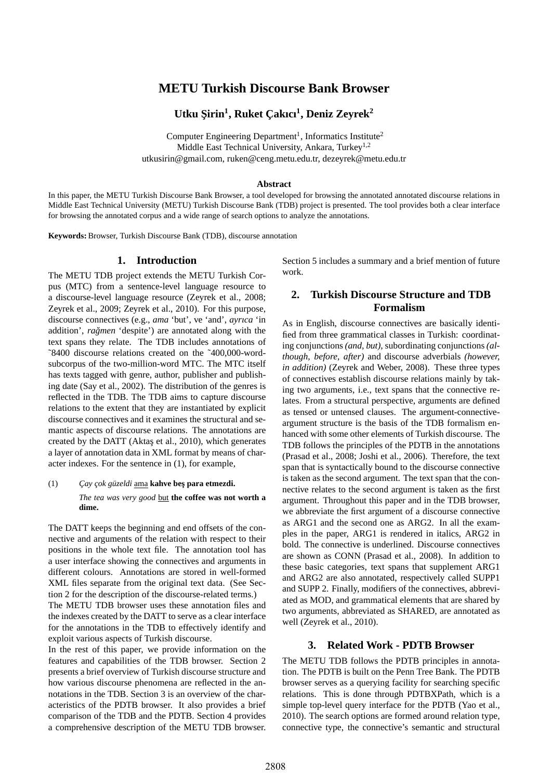# **METU Turkish Discourse Bank Browser**

# **Utku S¸irin<sup>1</sup> , Ruket C¸ akıcı<sup>1</sup> , Deniz Zeyrek<sup>2</sup>**

Computer Engineering Department<sup>1</sup>, Informatics Institute<sup>2</sup> Middle East Technical University, Ankara, Turkey<sup>1,2</sup> utkusirin@gmail.com, ruken@ceng.metu.edu.tr, dezeyrek@metu.edu.tr

#### **Abstract**

In this paper, the METU Turkish Discourse Bank Browser, a tool developed for browsing the annotated annotated discourse relations in Middle East Technical University (METU) Turkish Discourse Bank (TDB) project is presented. The tool provides both a clear interface for browsing the annotated corpus and a wide range of search options to analyze the annotations.

**Keywords:** Browser, Turkish Discourse Bank (TDB), discourse annotation

# **1. Introduction**

The METU TDB project extends the METU Turkish Corpus (MTC) from a sentence-level language resource to a discourse-level language resource (Zeyrek et al., 2008; Zeyrek et al., 2009; Zeyrek et al., 2010). For this purpose, discourse connectives (e.g., *ama* 'but', ve 'and', *ayrıca* 'in addition', *ragmen ˘* 'despite') are annotated along with the text spans they relate. The TDB includes annotations of ˜8400 discourse relations created on the ˜400,000-wordsubcorpus of the two-million-word MTC. The MTC itself has texts tagged with genre, author, publisher and publishing date (Say et al., 2002). The distribution of the genres is reflected in the TDB. The TDB aims to capture discourse relations to the extent that they are instantiated by explicit discourse connectives and it examines the structural and semantic aspects of discourse relations. The annotations are created by the DATT (Aktas et al., 2010), which generates a layer of annotation data in XML format by means of character indexes. For the sentence in (1), for example,

(1) *Cay çok güzeldi* ama **kahve beş para etmezdi.** *The tea was very good* but **the coffee was not worth a dime.**

The DATT keeps the beginning and end offsets of the connective and arguments of the relation with respect to their positions in the whole text file. The annotation tool has a user interface showing the connectives and arguments in different colours. Annotations are stored in well-formed XML files separate from the original text data. (See Section 2 for the description of the discourse-related terms.) The METU TDB browser uses these annotation files and the indexes created by the DATT to serve as a clear interface for the annotations in the TDB to effectively identify and exploit various aspects of Turkish discourse.

In the rest of this paper, we provide information on the features and capabilities of the TDB browser. Section 2 presents a brief overview of Turkish discourse structure and how various discourse phenomena are reflected in the annotations in the TDB. Section 3 is an overview of the characteristics of the PDTB browser. It also provides a brief comparison of the TDB and the PDTB. Section 4 provides a comprehensive description of the METU TDB browser. Section 5 includes a summary and a brief mention of future work.

# **2. Turkish Discourse Structure and TDB Formalism**

As in English, discourse connectives are basically identified from three grammatical classes in Turkish: coordinating conjunctions *(and, but)*, subordinating conjunctions *(although, before, after)* and discourse adverbials *(however, in addition)* (Zeyrek and Weber, 2008). These three types of connectives establish discourse relations mainly by taking two arguments, i.e., text spans that the connective relates. From a structural perspective, arguments are defined as tensed or untensed clauses. The argument-connectiveargument structure is the basis of the TDB formalism enhanced with some other elements of Turkish discourse. The TDB follows the principles of the PDTB in the annotations (Prasad et al., 2008; Joshi et al., 2006). Therefore, the text span that is syntactically bound to the discourse connective is taken as the second argument. The text span that the connective relates to the second argument is taken as the first argument. Throughout this paper and in the TDB browser, we abbreviate the first argument of a discourse connective as ARG1 and the second one as ARG2. In all the examples in the paper, ARG1 is rendered in italics, ARG2 in bold. The connective is underlined. Discourse connectives are shown as CONN (Prasad et al., 2008). In addition to these basic categories, text spans that supplement ARG1 and ARG2 are also annotated, respectively called SUPP1 and SUPP 2. Finally, modifiers of the connectives, abbreviated as MOD, and grammatical elements that are shared by two arguments, abbreviated as SHARED, are annotated as well (Zeyrek et al., 2010).

# **3. Related Work - PDTB Browser**

The METU TDB follows the PDTB principles in annotation. The PDTB is built on the Penn Tree Bank. The PDTB browser serves as a querying facility for searching specific relations. This is done through PDTBXPath, which is a simple top-level query interface for the PDTB (Yao et al., 2010). The search options are formed around relation type, connective type, the connective's semantic and structural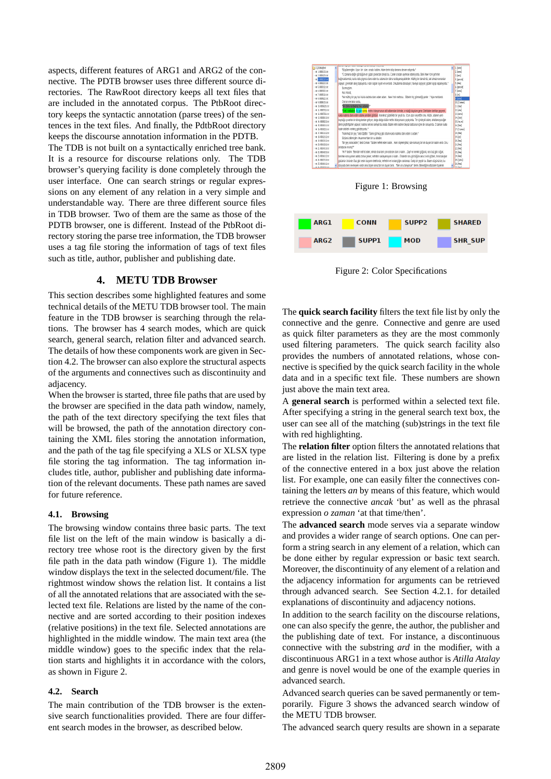aspects, different features of ARG1 and ARG2 of the connective. The PDTB browser uses three different source directories. The RawRoot directory keeps all text files that are included in the annotated corpus. The PtbRoot directory keeps the syntactic annotation (parse trees) of the sentences in the text files. And finally, the PdtbRoot directory keeps the discourse annotation information in the PDTB.

The TDB is not built on a syntactically enriched tree bank. It is a resource for discourse relations only. The TDB browser's querying facility is done completely through the user interface. One can search strings or regular expressions on any element of any relation in a very simple and understandable way. There are three different source files in TDB browser. Two of them are the same as those of the PDTB browser, one is different. Instead of the PtbRoot directory storing the parse tree information, the TDB browser uses a tag file storing the information of tags of text files such as title, author, publisher and publishing date.

### **4. METU TDB Browser**

This section describes some highlighted features and some technical details of the METU TDB browser tool. The main feature in the TDB browser is searching through the relations. The browser has 4 search modes, which are quick search, general search, relation filter and advanced search. The details of how these components work are given in Section 4.2. The browser can also explore the structural aspects of the arguments and connectives such as discontinuity and adjacency.

When the browser is started, three file paths that are used by the browser are specified in the data path window, namely, the path of the text directory specifying the text files that will be browsed, the path of the annotation directory containing the XML files storing the annotation information, and the path of the tag file specifying a XLS or XLSX type file storing the tag information. The tag information includes title, author, publisher and publishing date information of the relevant documents. These path names are saved for future reference.

#### **4.1. Browsing**

The browsing window contains three basic parts. The text file list on the left of the main window is basically a directory tree whose root is the directory given by the first file path in the data path window (Figure 1). The middle window displays the text in the selected document/file. The rightmost window shows the relation list. It contains a list of all the annotated relations that are associated with the selected text file. Relations are listed by the name of the connective and are sorted according to their position indexes (relative positions) in the text file. Selected annotations are highlighted in the middle window. The main text area (the middle window) goes to the specific index that the relation starts and highlights it in accordance with the colors, as shown in Figure 2.

#### **4.2. Search**

The main contribution of the TDB browser is the extensive search functionalities provided. There are four different search modes in the browser, as described below.







Figure 2: Color Specifications

The **quick search facility** filters the text file list by only the connective and the genre. Connective and genre are used as quick filter parameters as they are the most commonly used filtering parameters. The quick search facility also provides the numbers of annotated relations, whose connective is specified by the quick search facility in the whole data and in a specific text file. These numbers are shown just above the main text area.

A **general search** is performed within a selected text file. After specifying a string in the general search text box, the user can see all of the matching (sub)strings in the text file with red highlighting.

The **relation filter** option filters the annotated relations that are listed in the relation list. Filtering is done by a prefix of the connective entered in a box just above the relation list. For example, one can easily filter the connectives containing the letters *an* by means of this feature, which would retrieve the connective *ancak* 'but' as well as the phrasal expression *o zaman* 'at that time/then'.

The **advanced search** mode serves via a separate window and provides a wider range of search options. One can perform a string search in any element of a relation, which can be done either by regular expression or basic text search. Moreover, the discontinuity of any element of a relation and the adjacency information for arguments can be retrieved through advanced search. See Section 4.2.1. for detailed explanations of discontinuity and adjacency notions.

In addition to the search facility on the discourse relations, one can also specify the genre, the author, the publisher and the publishing date of text. For instance, a discontinuous connective with the substring *ard* in the modifier, with a discontinuous ARG1 in a text whose author is *Atilla Atalay* and genre is novel would be one of the example queries in advanced search.

Advanced search queries can be saved permanently or temporarily. Figure 3 shows the advanced search window of the METU TDB browser.

The advanced search query results are shown in a separate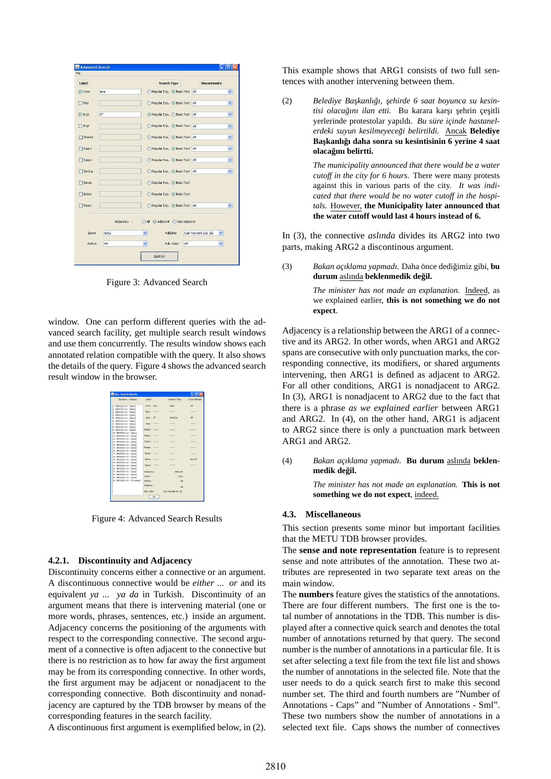| File               |             |                                   |                               |
|--------------------|-------------|-----------------------------------|-------------------------------|
| Label              |             | <b>Search Type</b>                | <b>Discontinuity</b>          |
| $ v $ Conn         | ama         | Regular Exp. . Basic Text All     | ×                             |
| Mod                |             | Regular Exp. . Basic Text   All   | v                             |
| $ v $ Arg1         | ď           | ⊙ Regular Exp. C Basic Text   All | ×                             |
| $P$ Arg2           |             | Regular Exp. . Basic Text All     | Y                             |
| Shared             |             | Regular Exp. (a) Basic Text All   | $\checkmark$                  |
| Supp1              |             | Regular Exp. . Basic Text All     | v                             |
| Supp2              |             | Regular Exp. . Basic Text All     | Y                             |
| Shr <sub>5up</sub> |             | Regular Exp. . Basic Text All     | ×                             |
| Sense              |             | Regular Exp. . Basic Text         |                               |
| Notes              |             | Regular Exp. . Basic Text         |                               |
| Paran              |             | Regular Exp. . Basic Text All     | ×                             |
|                    |             |                                   |                               |
|                    | Adjacency : | All Adjacent ONon-adjacent        |                               |
| Genre              | övkü        | Publisher<br>v                    | Can Yayıncılık Ltd. Sti.<br>Ÿ |
| Author             | All         | All<br>Pub. Date<br>v.            | Y.                            |

Figure 3: Advanced Search

window. One can perform different queries with the advanced search facility, get multiple search result windows and use them concurrently. The results window shows each annotated relation compatible with the query. It also shows the details of the query. Figure 4 shows the advanced search result window in the browser.

| File Name -- Relation       | Label            | Search Type           | Discontinuity         |
|-----------------------------|------------------|-----------------------|-----------------------|
| $1.00032161.64 - [Amal]$    | Conn / Max       | Rock                  | $\Delta$ <sup>1</sup> |
| 2.00032161.cd ~ [Arse]      |                  |                       |                       |
| 3.00032161.cct -- Fama1     | Mod i            | <b>STERNES</b>        | <b>BEERED</b>         |
| 4.00032161.bit ~ [ama]      |                  |                       |                       |
| S. 00032161.cd -- [Arsa]    | Aral: d*         | Rea Exp.              | $\Delta$              |
| 6.00032161.bit ~ [Ana]      |                  |                       |                       |
| 7.00032161.cd -- [Arsa]     | Ara2: -------    |                       |                       |
| 8.00032161.bit ~ [ama]      |                  |                       |                       |
| 9.0002161.ht ~ [Arsa]       | Shand: ------    |                       |                       |
| 10.00032161.txt ~ [Ama]     |                  |                       |                       |
| 11.00032161.ht - [ana]      | Suppl : -------  |                       |                       |
| 12.00032161.txt -- Famal    |                  |                       |                       |
| 13.00032261.ht - [ana]      | S<br>-------     |                       | -------               |
| 14.00032261.txt -- Famal    |                  |                       |                       |
| 15.00032261.ht ~ [ana]      | StSID<br>------- | *******               | -------               |
| 16.00032261.html - Famal    |                  |                       |                       |
| 17.00032261.ht ~ Fana1      | SADAR 1 -------  |                       |                       |
| 18.00032261.html            |                  |                       |                       |
| 19.00032261.ht -- Fana1     | Nobect - ------- | -------               | No Trêo               |
| 20.00032261.hxt - [ema]     |                  |                       |                       |
| 21.00032261.txt -- Famal    | Paran r          | <b>ARRESTS</b>        | <b>HEATHER</b>        |
| 22.00032261.hxt -- [ema]    |                  |                       |                       |
| 23.00032261.txt -- Famal    | Adjacency :      | Adjacent              |                       |
| 24.00032261.cxt ~ [Ame]     | Georgia 1        | övkü                  |                       |
| 25.00032261.txt -- [ama]    |                  |                       |                       |
| 26.00032261.cxt ~ FO.zamenT | Aigher :         | All                   |                       |
|                             | Diddelser -      | M                     |                       |
|                             |                  |                       |                       |
|                             | Pub. Dete :      | Can Yavancik Ltd. 55. |                       |

Figure 4: Advanced Search Results

### **4.2.1. Discontinuity and Adjacency**

Discontinuity concerns either a connective or an argument. A discontinuous connective would be *either ... or* and its equivalent *ya ... ya da* in Turkish. Discontinuity of an argument means that there is intervening material (one or more words, phrases, sentences, etc.) inside an argument. Adjacency concerns the positioning of the arguments with respect to the corresponding connective. The second argument of a connective is often adjacent to the connective but there is no restriction as to how far away the first argument may be from its corresponding connective. In other words, the first argument may be adjacent or nonadjacent to the corresponding connective. Both discontinuity and nonadjacency are captured by the TDB browser by means of the corresponding features in the search facility.

A discontinuous first argument is exemplified below, in (2).

This example shows that ARG1 consists of two full sentences with another intervening between them.

(2) Belediye Başkanlığı, şehirde 6 saat boyunca su kesin $t$ isi olacağını ilan etti. Bu karara karşı şehrin çeşitli yerlerinde protestolar yapıldı. *Bu süre içinde hastanelerdeki suyun kesilmeyecegi belirtildi. ˘* Ancak **Belediye** Başkanlığı daha sonra su kesintisinin 6 yerine 4 saat **olacagını belirtti. ˘**

> *The municipality announced that there would be a water cutoff in the city for 6 hours.* There were many protests against this in various parts of the city. *It was indicated that there would be no water cutoff in the hospitals.* However, **the Municipality later announced that the water cutoff would last 4 hours instead of 6.**

In (3), the connective *aslında* divides its ARG2 into two parts, making ARG2 a discontinous argument.

(3) *Bakan açıklama yapmadı*. Daha önce dediğimiz gibi, bu **durum** aslında **beklenmedik degil. ˘**

> *The minister has not made an explanation.* Indeed, as we explained earlier, **this is not something we do not expect**.

Adjacency is a relationship between the ARG1 of a connective and its ARG2. In other words, when ARG1 and ARG2 spans are consecutive with only punctuation marks, the corresponding connective, its modifiers, or shared arguments intervening, then ARG1 is defined as adjacent to ARG2. For all other conditions, ARG1 is nonadjacent to ARG2. In (3), ARG1 is nonadjacent to ARG2 due to the fact that there is a phrase *as we explained earlier* between ARG1 and ARG2. In (4), on the other hand, ARG1 is adjacent to ARG2 since there is only a punctuation mark between ARG1 and ARG2.

(4) *Bakan açıklama yapmadı*. Bu durum aslında beklen**medik degil. ˘**

> *The minister has not made an explanation.* **This is not something we do not expect**, indeed.

#### **4.3. Miscellaneous**

This section presents some minor but important facilities that the METU TDB browser provides.

The **sense and note representation** feature is to represent sense and note attributes of the annotation. These two attributes are represented in two separate text areas on the main window.

The **numbers** feature gives the statistics of the annotations. There are four different numbers. The first one is the total number of annotations in the TDB. This number is displayed after a connective quick search and denotes the total number of annotations returned by that query. The second number is the number of annotations in a particular file. It is set after selecting a text file from the text file list and shows the number of annotations in the selected file. Note that the user needs to do a quick search first to make this second number set. The third and fourth numbers are "Number of Annotations - Caps" and "Number of Annotations - Sml". These two numbers show the number of annotations in a selected text file. Caps shows the number of connectives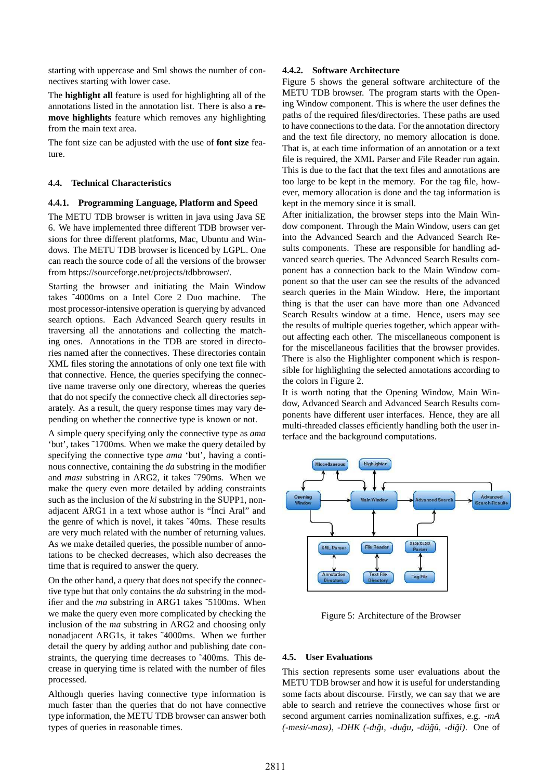starting with uppercase and Sml shows the number of connectives starting with lower case.

The **highlight all** feature is used for highlighting all of the annotations listed in the annotation list. There is also a **remove highlights** feature which removes any highlighting from the main text area.

The font size can be adjusted with the use of **font size** feature.

### **4.4. Technical Characteristics**

#### **4.4.1. Programming Language, Platform and Speed**

The METU TDB browser is written in java using Java SE 6. We have implemented three different TDB browser versions for three different platforms, Mac, Ubuntu and Windows. The METU TDB browser is licenced by LGPL. One can reach the source code of all the versions of the browser from https://sourceforge.net/projects/tdbbrowser/.

Starting the browser and initiating the Main Window takes ˜4000ms on a Intel Core 2 Duo machine. The most processor-intensive operation is querying by advanced search options. Each Advanced Search query results in traversing all the annotations and collecting the matching ones. Annotations in the TDB are stored in directories named after the connectives. These directories contain XML files storing the annotations of only one text file with that connective. Hence, the queries specifying the connective name traverse only one directory, whereas the queries that do not specify the connective check all directories separately. As a result, the query response times may vary depending on whether the connective type is known or not.

A simple query specifying only the connective type as *ama* 'but', takes ˜1700ms. When we make the query detailed by specifying the connective type *ama* 'but', having a continous connective, containing the *da* substring in the modifier and *ması* substring in ARG2, it takes ˜790ms. When we make the query even more detailed by adding constraints such as the inclusion of the *ki* substring in the SUPP1, nonadjacent ARG1 in a text whose author is "Inci Aral" and the genre of which is novel, it takes ˜40ms. These results are very much related with the number of returning values. As we make detailed queries, the possible number of annotations to be checked decreases, which also decreases the time that is required to answer the query.

On the other hand, a query that does not specify the connective type but that only contains the *da* substring in the modifier and the *ma* substring in ARG1 takes ~5100ms. When we make the query even more complicated by checking the inclusion of the *ma* substring in ARG2 and choosing only nonadjacent ARG1s, it takes ˜4000ms. When we further detail the query by adding author and publishing date constraints, the querying time decreases to ˜400ms. This decrease in querying time is related with the number of files processed.

Although queries having connective type information is much faster than the queries that do not have connective type information, the METU TDB browser can answer both types of queries in reasonable times.

### **4.4.2. Software Architecture**

Figure 5 shows the general software architecture of the METU TDB browser. The program starts with the Opening Window component. This is where the user defines the paths of the required files/directories. These paths are used to have connections to the data. For the annotation directory and the text file directory, no memory allocation is done. That is, at each time information of an annotation or a text file is required, the XML Parser and File Reader run again. This is due to the fact that the text files and annotations are too large to be kept in the memory. For the tag file, however, memory allocation is done and the tag information is kept in the memory since it is small.

After initialization, the browser steps into the Main Window component. Through the Main Window, users can get into the Advanced Search and the Advanced Search Results components. These are responsible for handling advanced search queries. The Advanced Search Results component has a connection back to the Main Window component so that the user can see the results of the advanced search queries in the Main Window. Here, the important thing is that the user can have more than one Advanced Search Results window at a time. Hence, users may see the results of multiple queries together, which appear without affecting each other. The miscellaneous component is for the miscellaneous facilities that the browser provides. There is also the Highlighter component which is responsible for highlighting the selected annotations according to the colors in Figure 2.

It is worth noting that the Opening Window, Main Window, Advanced Search and Advanced Search Results components have different user interfaces. Hence, they are all multi-threaded classes efficiently handling both the user interface and the background computations.



Figure 5: Architecture of the Browser

## **4.5. User Evaluations**

This section represents some user evaluations about the METU TDB browser and how it is useful for understanding some facts about discourse. Firstly, we can say that we are able to search and retrieve the connectives whose first or second argument carries nominalization suffixes, e.g. *-mA (-mesi/-ması)*, *-DHK (-dıgı, -du ˘ gu, -d ˘ u¨g˘u, -di ¨ gi) ˘* . One of